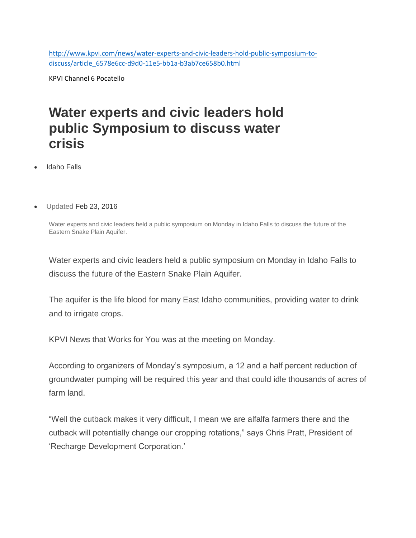[http://www.kpvi.com/news/water-experts-and-civic-leaders-hold-public-symposium-to](http://www.kpvi.com/news/water-experts-and-civic-leaders-hold-public-symposium-to-discuss/article_6578e6cc-d9d0-11e5-bb1a-b3ab7ce658b0.html)[discuss/article\\_6578e6cc-d9d0-11e5-bb1a-b3ab7ce658b0.html](http://www.kpvi.com/news/water-experts-and-civic-leaders-hold-public-symposium-to-discuss/article_6578e6cc-d9d0-11e5-bb1a-b3ab7ce658b0.html)

KPVI Channel 6 Pocatello

## **Water experts and civic leaders hold public Symposium to discuss water crisis**

- [Idaho Falls](https://kpvi-dot-com.bloxcms-ny1.com/users/profile/dcoffin)
- Updated Feb 23, 2016

Water experts and civic leaders held a public symposium on Monday in Idaho Falls to discuss the future of the Eastern Snake Plain Aquifer.

Water experts and civic leaders held a public symposium on Monday in Idaho Falls to discuss the future of the Eastern Snake Plain Aquifer.

The aquifer is the life blood for many East Idaho communities, providing water to drink and to irrigate crops.

KPVI News that Works for You was at the meeting on Monday.

According to organizers of Monday's symposium, a 12 and a half percent reduction of groundwater pumping will be required this year and that could idle thousands of acres of farm land.

"Well the cutback makes it very difficult, I mean we are alfalfa farmers there and the cutback will potentially change our cropping rotations," says Chris Pratt, President of 'Recharge Development Corporation.'